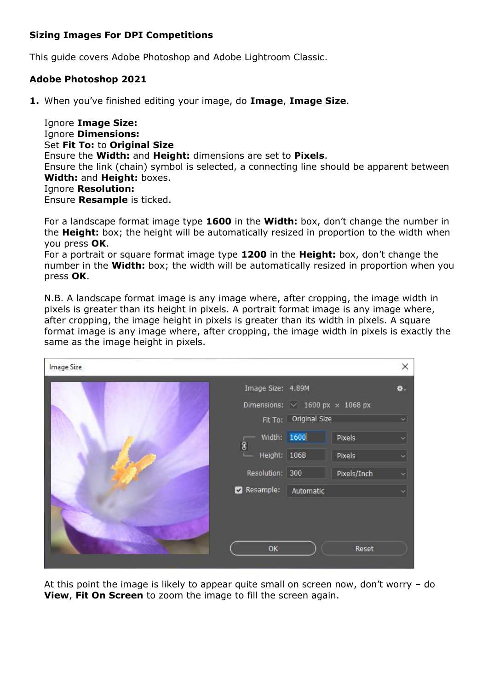### **Sizing Images For DPI Competitions**

This guide covers Adobe Photoshop and Adobe Lightroom Classic.

## **Adobe Photoshop 2021**

**1.** When you've finished editing your image, do **Image**, **Image Size**.

Ignore **Image Size:** Ignore **Dimensions:** Set **Fit To:** to **Original Size** Ensure the **Width:** and **Height:** dimensions are set to **Pixels**. Ensure the link (chain) symbol is selected, a connecting line should be apparent between **Width:** and **Height:** boxes. Ignore **Resolution:** Ensure **Resample** is ticked.

For a landscape format image type **1600** in the **Width:** box, don't change the number in the **Height:** box; the height will be automatically resized in proportion to the width when you press **OK**.

For a portrait or square format image type **1200** in the **Height:** box, don't change the number in the **Width:** box; the width will be automatically resized in proportion when you press **OK**.

N.B. A landscape format image is any image where, after cropping, the image width in pixels is greater than its height in pixels. A portrait format image is any image where, after cropping, the image height in pixels is greater than its width in pixels. A square format image is any image where, after cropping, the image width in pixels is exactly the same as the image height in pixels.

| Image Size |                                      |                                             |             | ×                    |
|------------|--------------------------------------|---------------------------------------------|-------------|----------------------|
|            | Image Size: 4.89M                    |                                             |             | ₩.                   |
|            |                                      | Dimensions: $\vee$ 1600 px $\times$ 1068 px |             |                      |
|            |                                      | Fit To: Original Size                       |             | ×.                   |
|            | Width: 1600                          |                                             | Pixels      | $\ddot{\phantom{1}}$ |
|            | 3 <br>Height: 1068<br><b>COLLEGE</b> |                                             | Pixels      | $\ddot{}$            |
|            | Resolution: 300                      |                                             | Pixels/Inch |                      |
|            | Resample:                            | Automatic                                   |             |                      |
|            |                                      |                                             |             |                      |
|            |                                      |                                             |             |                      |
|            | OK                                   |                                             | Reset       |                      |
|            |                                      |                                             |             |                      |

At this point the image is likely to appear quite small on screen now, don't worry – do **View**, **Fit On Screen** to zoom the image to fill the screen again.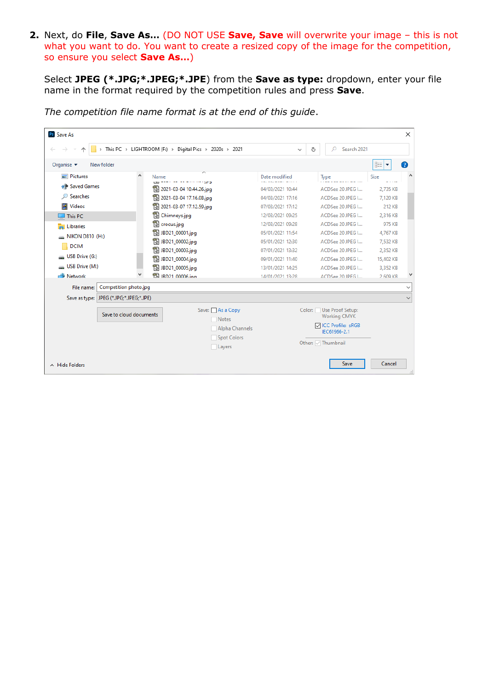**2.** Next, do **File**, **Save As…** (DO NOT USE **Save, Save** will overwrite your image – this is not what you want to do. You want to create a resized copy of the image for the competition, so ensure you select **Save As…**)

Select **JPEG (\*.JPG;\*.JPEG;\*.JPE**) from the **Save as type:** dropdown, enter your file name in the format required by the competition rules and press **Save**.

| X<br><b>Ps</b> Save As                                                                                                                                                                     |                                         |                                                                                                                                                                                                                                                                                                                                                                                         |                                                                                                                                                                                                                                           |                                                                                                                                                                                                                                  |                                                                                                                                       |               |
|--------------------------------------------------------------------------------------------------------------------------------------------------------------------------------------------|-----------------------------------------|-----------------------------------------------------------------------------------------------------------------------------------------------------------------------------------------------------------------------------------------------------------------------------------------------------------------------------------------------------------------------------------------|-------------------------------------------------------------------------------------------------------------------------------------------------------------------------------------------------------------------------------------------|----------------------------------------------------------------------------------------------------------------------------------------------------------------------------------------------------------------------------------|---------------------------------------------------------------------------------------------------------------------------------------|---------------|
| > This PC > LIGHTROOM (F:) > Digital Pics > 2020s > 2021<br>Search 2021<br>Ω<br>Ō<br>$\checkmark$                                                                                          |                                         |                                                                                                                                                                                                                                                                                                                                                                                         |                                                                                                                                                                                                                                           |                                                                                                                                                                                                                                  |                                                                                                                                       |               |
| Organise $\blacktriangledown$                                                                                                                                                              | New folder                              |                                                                                                                                                                                                                                                                                                                                                                                         |                                                                                                                                                                                                                                           |                                                                                                                                                                                                                                  | 胆目<br>$\overline{\mathbf{v}}$                                                                                                         | Q             |
| <b>Pictures</b><br><b>PP</b> Saved Games<br><b>Searches</b><br>Ω<br><b>Videos</b><br>This PC<br>Libraries<br>NIKON D810 (H:)<br><b>DCIM</b><br>USB Drive (G:)<br>USB Drive (M:)<br>Network | $\hat{}$                                | Name<br>and an interesting age of<br><sup>1</sup> 2021-03-04 10.44.26.jpg<br><sup>1</sup> 2021-03-04 17.16.08.jpg<br><sup>1</sup> 2021-03-07 17.12.59.jpg<br><sup>1</sup> Chimneys.jpg<br><b>R</b> crocus.jpg<br><sup>1</sup> JBD21_00001.jpg<br><sup>1</sup> JBD21_00002.jpg<br><sup>1</sup> JBD21_00003.jpg<br><sup>1</sup> JBD21_00004.jpg<br>图 JBD21_00005.jpg<br>图 IBD21 00006.ing | Date modified<br>04/03/2021 10:44<br>04/03/2021 17:16<br>07/03/2021 17:12<br>12/03/2021 09:25<br>12/03/2021 09:28<br>05/01/2021 11:54<br>05/01/2021 12:30<br>07/01/2021 13:32<br>09/01/2021 11:40<br>13/01/2021 14:25<br>14/01/2021 13:28 | Type<br>ACDSee 20 JPEG I<br>ACDSee 20 JPEG I<br>ACDSee 20 JPEG I<br>ACDSee 20 JPEG I<br>ACDSee 20 JPEG L<br>ACDSee 20 JPEG I<br>ACDSee 20 JPEG I<br>ACDSee 20 JPEG I<br>ACDSee 20 JPEG I<br>ACDSee 20 JPEG I<br>ACDSee 20 JPEG L | Size<br>2,735 KB<br>7,120 KB<br>212 KB<br>2.316 KB<br>975 KB<br>4.767 KB<br>7,532 KB<br>2.352 KB<br>15,402 KB<br>3,352 KB<br>2 609 KB | $\wedge$<br>٧ |
| File name:                                                                                                                                                                                 | Competition photo.jpg                   |                                                                                                                                                                                                                                                                                                                                                                                         |                                                                                                                                                                                                                                           |                                                                                                                                                                                                                                  |                                                                                                                                       | $\checkmark$  |
|                                                                                                                                                                                            | Save as type: JPEG (*.JPG;*.JPEG;*.JPE) |                                                                                                                                                                                                                                                                                                                                                                                         |                                                                                                                                                                                                                                           |                                                                                                                                                                                                                                  |                                                                                                                                       | $\checkmark$  |
|                                                                                                                                                                                            | Save to cloud documents                 | Save: As a Copy<br>Notes<br>Alpha Channels<br>Spot Colors<br>Layers                                                                                                                                                                                                                                                                                                                     |                                                                                                                                                                                                                                           | Color: Use Proof Setup:<br><b>Working CMYK</b><br><b>▽ICC Profile: sRGB</b><br>IEC61966-2.1<br>Other: 7 Thumbnail                                                                                                                |                                                                                                                                       |               |
| $\land$ Hide Folders                                                                                                                                                                       |                                         |                                                                                                                                                                                                                                                                                                                                                                                         |                                                                                                                                                                                                                                           | Save                                                                                                                                                                                                                             | Cancel                                                                                                                                |               |

*The competition file name format is at the end of this guide*.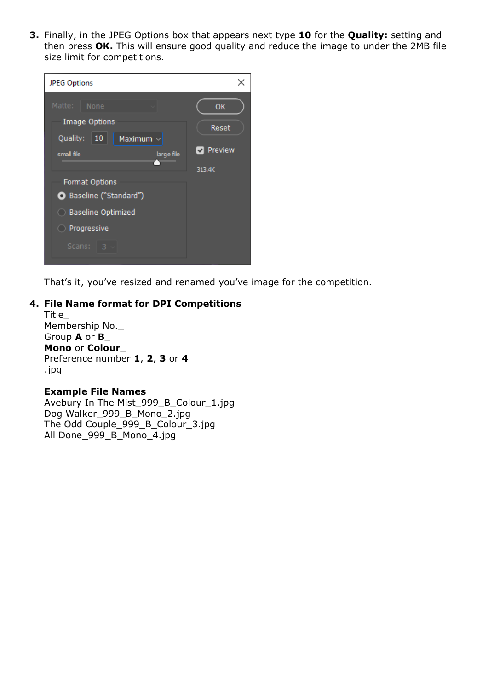**3.** Finally, in the JPEG Options box that appears next type **10** for the **Quality:** setting and then press **OK.** This will ensure good quality and reduce the image to under the 2MB file size limit for competitions.



That's it, you've resized and renamed you've image for the competition.

#### **4. File Name format for DPI Competitions**

Title\_ Membership No.\_ Group **A** or **B**\_ **Mono** or **Colour**\_ Preference number **1**, **2**, **3** or **4** .jpg

#### **Example File Names**

Avebury In The Mist\_999\_B\_Colour\_1.jpg Dog Walker\_999\_B\_Mono\_2.jpg The Odd Couple\_999\_B\_Colour\_3.jpg All Done\_999\_B\_Mono\_4.jpg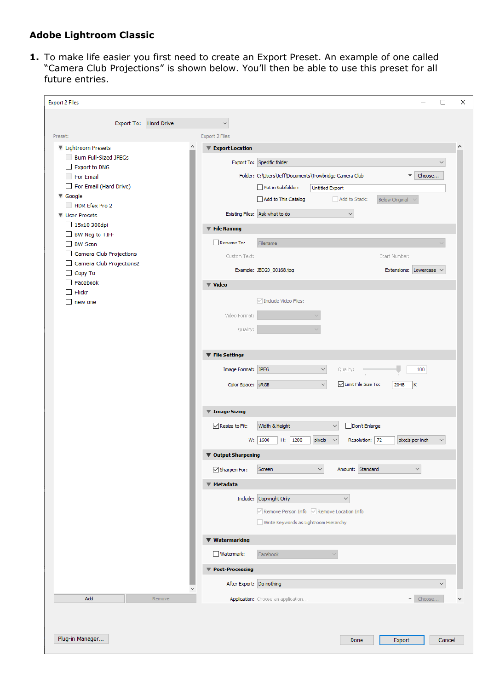# **Adobe Lightroom Classic**

**1.** To make life easier you first need to create an Export Preset. An example of one called "Camera Club Projections" is shown below. You'll then be able to use this preset for all future entries.

| <b>Export 2 Files</b>                       | $\Box$                                                                                                   | ×       |
|---------------------------------------------|----------------------------------------------------------------------------------------------------------|---------|
| Export To: Hard Drive                       |                                                                                                          |         |
| Preset:                                     | $\checkmark$<br>Export 2 Files                                                                           |         |
| <b>V</b> Lightroom Presets                  | ▼ Export Location                                                                                        | $\land$ |
| <b>Burn Full-Sized JPEGs</b>                | Export To: Specific folder<br>$\checkmark$                                                               |         |
| <b>Export to DNG</b><br>$\Box$<br>For Email | Folder: C:\Users\Jeff\Documents\Trowbridge Camera Club<br>Choose<br>$\overline{\phantom{a}}$             |         |
| For Email (Hard Drive)                      | Put in Subfolder:<br><b>Untitled Export</b>                                                              |         |
| <b>W</b> Google                             | Add to This Catalog<br>Add to Stack:<br>Below Original ~                                                 |         |
| HDR Efex Pro 2<br><b>W</b> User Presets     | $\checkmark$<br>Existing Files: Ask what to do                                                           |         |
| 15x10 300dpi                                | ▼ File Naming                                                                                            |         |
| BW Neg to TIFF                              | Rename To:                                                                                               |         |
| $\Box$ BW Scan<br>Camera Club Projections   | Filename                                                                                                 |         |
| Camera Club Projections2                    | Custom Text:<br>Start Number:                                                                            |         |
| Copy To<br>$\Box$<br>Facebook<br>П          | Example: JBD20_00168.jpg<br>Extensions: Lowercase v                                                      |         |
| Flickr<br>П                                 | <b>▼ Video</b>                                                                                           |         |
| $\Box$ new one                              | $\sqrt{}$ Include Video Files:                                                                           |         |
|                                             | Video Format:                                                                                            |         |
|                                             | Quality:                                                                                                 |         |
|                                             |                                                                                                          |         |
|                                             | ▼ File Settings                                                                                          |         |
|                                             | Image Format: JPEG<br>$\checkmark$<br>Quality:<br>100                                                    |         |
|                                             | Imit File Size To:<br>Color Space: SRGB<br>$\checkmark$<br>2048<br>ΙK                                    |         |
|                                             |                                                                                                          |         |
|                                             | ▼ Image Sizing                                                                                           |         |
|                                             | <b><del>○</del></b> Resize to Fit:<br>Don't Enlarge<br>Width & Height<br>$\checkmark$                    |         |
|                                             | 1600<br> 1200<br>Resolution: 72<br>pixels per inch<br>W:<br>H:<br>pixels<br>$\checkmark$<br>$\checkmark$ |         |
|                                             | ▼ Output Sharpening                                                                                      |         |
|                                             | $\checkmark$<br>Amount: Standard<br>$\boxdot$ Sharpen For:<br>Screen<br>$\checkmark$                     |         |
|                                             | <b>▼ Metadata</b>                                                                                        |         |
|                                             | Include: Copyright Only<br>$\checkmark$                                                                  |         |
|                                             | $\vee$ Remove Person Info $\vee$ Remove Location Info                                                    |         |
|                                             | Write Keywords as Lightroom Hierarchy                                                                    |         |
|                                             | ▼ Watermarking                                                                                           |         |
|                                             | Watermark:                                                                                               |         |
|                                             | Facebook                                                                                                 |         |
|                                             | ▼ Post-Processing                                                                                        |         |
|                                             | After Export: Do nothing<br>$\checkmark$                                                                 |         |
| Add<br>Remove                               | V Choose<br>Application: Choose an application                                                           |         |
|                                             |                                                                                                          |         |
|                                             |                                                                                                          |         |
| Plug-in Manager                             | Export<br>Cancel<br>Done                                                                                 |         |
|                                             |                                                                                                          |         |